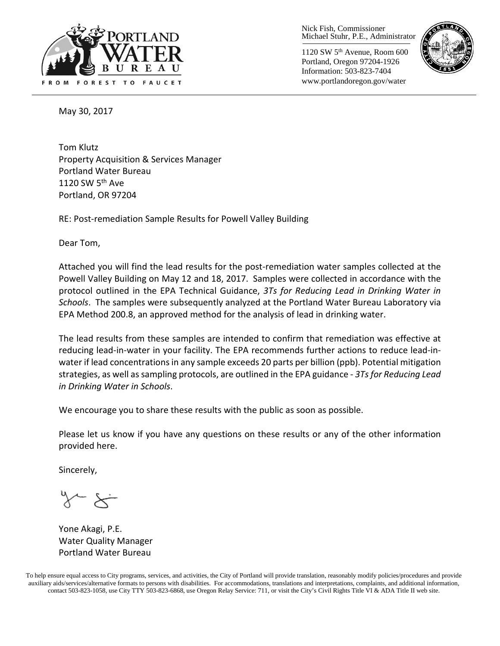

Nick Fish, Commissioner Michael Stuhr, P.E., Administrator

1120 SW 5th Avenue, Room 600 Portland, Oregon 97204-1926 Information: 503-823-7404 www.portlandoregon.gov/water



May 30, 2017

Tom Klutz Property Acquisition & Services Manager Portland Water Bureau 1120 SW  $5<sup>th</sup>$  Ave Portland, OR 97204

RE: Post-remediation Sample Results for Powell Valley Building

Dear Tom,

Attached you will find the lead results for the post-remediation water samples collected at the Powell Valley Building on May 12 and 18, 2017. Samples were collected in accordance with the protocol outlined in the EPA Technical Guidance, *3Ts for Reducing Lead in Drinking Water in Schools*. The samples were subsequently analyzed at the Portland Water Bureau Laboratory via EPA Method 200.8, an approved method for the analysis of lead in drinking water.

The lead results from these samples are intended to confirm that remediation was effective at reducing lead-in-water in your facility. The EPA recommends further actions to reduce lead-inwater if lead concentrations in any sample exceeds 20 parts per billion (ppb). Potential mitigation strategies, as well as sampling protocols, are outlined in the EPA guidance - *3Ts for Reducing Lead in Drinking Water in Schools*.

We encourage you to share these results with the public as soon as possible.

Please let us know if you have any questions on these results or any of the other information provided here.

Sincerely,

Yone Akagi, P.E. Water Quality Manager Portland Water Bureau

To help ensure equal access to City programs, services, and activities, the City of Portland will provide translation, reasonably modify policies/procedures and provide auxiliary aids/services/alternative formats to persons with disabilities. For accommodations, translations and interpretations, complaints, and additional information, contact 503-823-1058, use City TTY 503-823-6868, use Oregon Relay Service: 711, or visi[t the City's Civil Rights Title VI & ADA Title II web site.](http://www.portlandoregon.gov/oehr/66458)